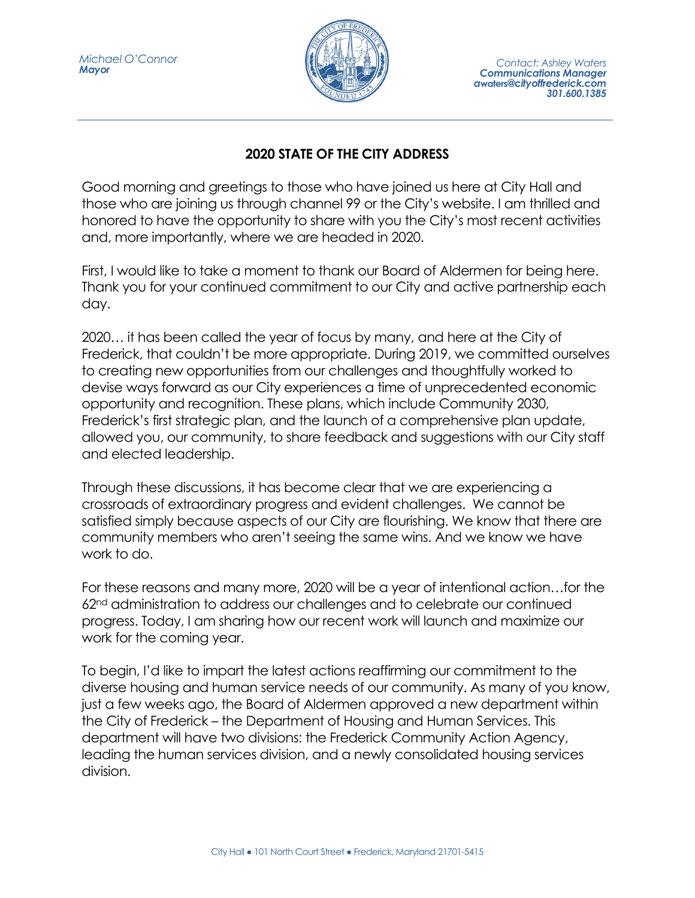

## **2020 STATE OF THE CITY ADDRESS**

Good morning and greetings to those who have joined us here at City Hall and those who are joining us through channel 99 or the City's website. I am thrilled and honored to have the opportunity to share with you the City's most recent activities and, more importantly, where we are headed in 2020.

First, I would like to take a moment to thank our Board of Aldermen for being here. Thank you for your continued commitment to our City and active partnership each day.

2020… it has been called the year of focus by many, and here at the City of Frederick, that couldn't be more appropriate. During 2019, we committed ourselves to creating new opportunities from our challenges and thoughtfully worked to devise ways forward as our City experiences a time of unprecedented economic opportunity and recognition. These plans, which include Community 2030, Frederick's first strategic plan, and the launch of a comprehensive plan update, allowed you, our community, to share feedback and suggestions with our City staff and elected leadership.

Through these discussions, it has become clear that we are experiencing a crossroads of extraordinary progress and evident challenges. We cannot be satisfied simply because aspects of our City are flourishing. We know that there are community members who aren't seeing the same wins. And we know we have work to do.

For these reasons and many more, 2020 will be a year of intentional action…for the 62nd administration to address our challenges and to celebrate our continued progress. Today, I am sharing how our recent work will launch and maximize our work for the coming year.

To begin, I'd like to impart the latest actions reaffirming our commitment to the diverse housing and human service needs of our community. As many of you know, just a few weeks ago, the Board of Aldermen approved a new department within the City of Frederick – the Department of Housing and Human Services. This department will have two divisions: the Frederick Community Action Agency, leading the human services division, and a newly consolidated housing services division.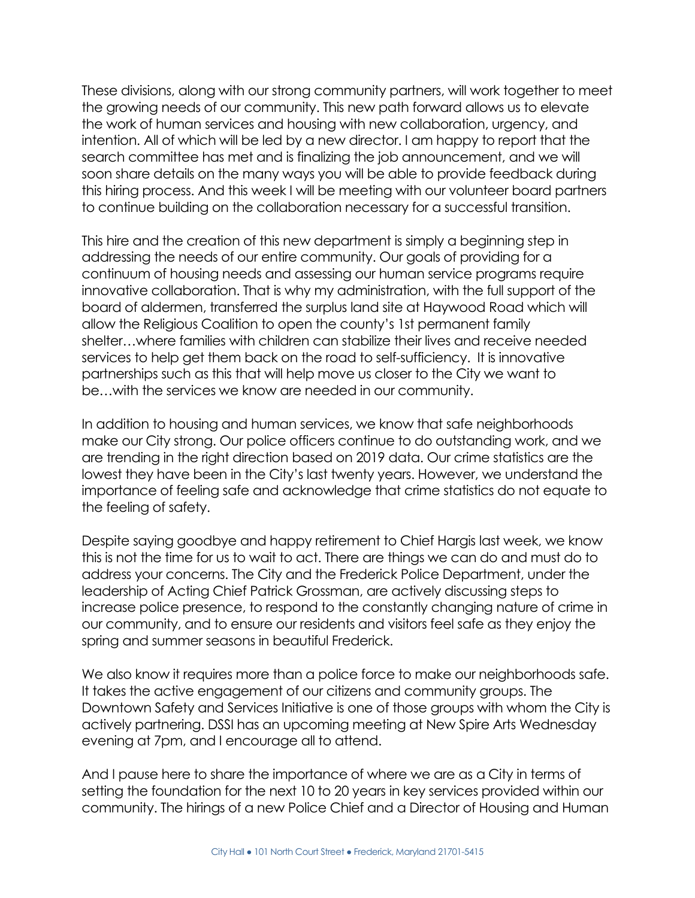These divisions, along with our strong community partners, will work together to meet the growing needs of our community. This new path forward allows us to elevate the work of human services and housing with new collaboration, urgency, and intention. All of which will be led by a new director. I am happy to report that the search committee has met and is finalizing the job announcement, and we will soon share details on the many ways you will be able to provide feedback during this hiring process. And this week I will be meeting with our volunteer board partners to continue building on the collaboration necessary for a successful transition.

This hire and the creation of this new department is simply a beginning step in addressing the needs of our entire community. Our goals of providing for a continuum of housing needs and assessing our human service programs require innovative collaboration. That is why my administration, with the full support of the board of aldermen, transferred the surplus land site at Haywood Road which will allow the Religious Coalition to open the county's 1st permanent family shelter…where families with children can stabilize their lives and receive needed services to help get them back on the road to self-sufficiency. It is innovative partnerships such as this that will help move us closer to the City we want to be…with the services we know are needed in our community.

In addition to housing and human services, we know that safe neighborhoods make our City strong. Our police officers continue to do outstanding work, and we are trending in the right direction based on 2019 data. Our crime statistics are the lowest they have been in the City's last twenty years. However, we understand the importance of feeling safe and acknowledge that crime statistics do not equate to the feeling of safety.

Despite saying goodbye and happy retirement to Chief Hargis last week, we know this is not the time for us to wait to act. There are things we can do and must do to address your concerns. The City and the Frederick Police Department, under the leadership of Acting Chief Patrick Grossman, are actively discussing steps to increase police presence, to respond to the constantly changing nature of crime in our community, and to ensure our residents and visitors feel safe as they enjoy the spring and summer seasons in beautiful Frederick.

We also know it requires more than a police force to make our neighborhoods safe. It takes the active engagement of our citizens and community groups. The Downtown Safety and Services Initiative is one of those groups with whom the City is actively partnering. DSSI has an upcoming meeting at New Spire Arts Wednesday evening at 7pm, and I encourage all to attend.

And I pause here to share the importance of where we are as a City in terms of setting the foundation for the next 10 to 20 years in key services provided within our community. The hirings of a new Police Chief and a Director of Housing and Human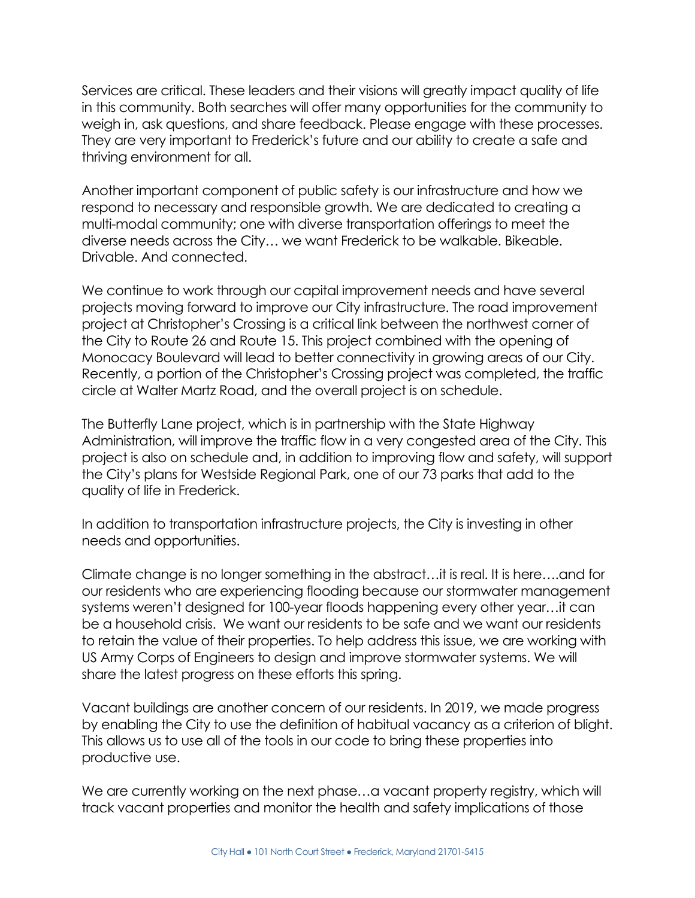Services are critical. These leaders and their visions will greatly impact quality of life in this community. Both searches will offer many opportunities for the community to weigh in, ask questions, and share feedback. Please engage with these processes. They are very important to Frederick's future and our ability to create a safe and thriving environment for all.

Another important component of public safety is our infrastructure and how we respond to necessary and responsible growth. We are dedicated to creating a multi-modal community; one with diverse transportation offerings to meet the diverse needs across the City… we want Frederick to be walkable. Bikeable. Drivable. And connected.

We continue to work through our capital improvement needs and have several projects moving forward to improve our City infrastructure. The road improvement project at Christopher's Crossing is a critical link between the northwest corner of the City to Route 26 and Route 15. This project combined with the opening of Monocacy Boulevard will lead to better connectivity in growing areas of our City. Recently, a portion of the Christopher's Crossing project was completed, the traffic circle at Walter Martz Road, and the overall project is on schedule.

The Butterfly Lane project, which is in partnership with the State Highway Administration, will improve the traffic flow in a very congested area of the City. This project is also on schedule and, in addition to improving flow and safety, will support the City's plans for Westside Regional Park, one of our 73 parks that add to the quality of life in Frederick.

In addition to transportation infrastructure projects, the City is investing in other needs and opportunities.

Climate change is no longer something in the abstract…it is real. It is here….and for our residents who are experiencing flooding because our stormwater management systems weren't designed for 100-year floods happening every other year…it can be a household crisis. We want our residents to be safe and we want our residents to retain the value of their properties. To help address this issue, we are working with US Army Corps of Engineers to design and improve stormwater systems. We will share the latest progress on these efforts this spring.

Vacant buildings are another concern of our residents. In 2019, we made progress by enabling the City to use the definition of habitual vacancy as a criterion of blight. This allows us to use all of the tools in our code to bring these properties into productive use.

We are currently working on the next phase...a vacant property registry, which will track vacant properties and monitor the health and safety implications of those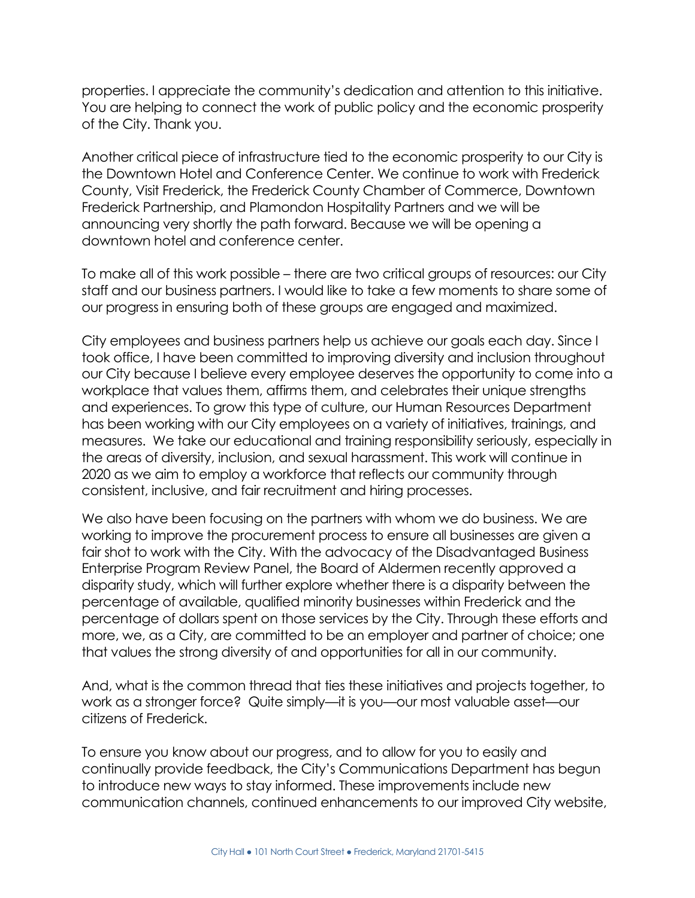properties. I appreciate the community's dedication and attention to this initiative. You are helping to connect the work of public policy and the economic prosperity of the City. Thank you.

Another critical piece of infrastructure tied to the economic prosperity to our City is the Downtown Hotel and Conference Center. We continue to work with Frederick County, Visit Frederick, the Frederick County Chamber of Commerce, Downtown Frederick Partnership, and Plamondon Hospitality Partners and we will be announcing very shortly the path forward. Because we will be opening a downtown hotel and conference center.

To make all of this work possible – there are two critical groups of resources: our City staff and our business partners. I would like to take a few moments to share some of our progress in ensuring both of these groups are engaged and maximized.

City employees and business partners help us achieve our goals each day. Since I took office, I have been committed to improving diversity and inclusion throughout our City because I believe every employee deserves the opportunity to come into a workplace that values them, affirms them, and celebrates their unique strengths and experiences. To grow this type of culture, our Human Resources Department has been working with our City employees on a variety of initiatives, trainings, and measures. We take our educational and training responsibility seriously, especially in the areas of diversity, inclusion, and sexual harassment. This work will continue in 2020 as we aim to employ a workforce that reflects our community through consistent, inclusive, and fair recruitment and hiring processes.

We also have been focusing on the partners with whom we do business. We are working to improve the procurement process to ensure all businesses are given a fair shot to work with the City. With the advocacy of the Disadvantaged Business Enterprise Program Review Panel, the Board of Aldermen recently approved a disparity study, which will further explore whether there is a disparity between the percentage of available, qualified minority businesses within Frederick and the percentage of dollars spent on those services by the City. Through these efforts and more, we, as a City, are committed to be an employer and partner of choice; one that values the strong diversity of and opportunities for all in our community.

And, what is the common thread that ties these initiatives and projects together, to work as a stronger force? Quite simply—it is you—our most valuable asset—our citizens of Frederick.

To ensure you know about our progress, and to allow for you to easily and continually provide feedback, the City's Communications Department has begun to introduce new ways to stay informed. These improvements include new communication channels, continued enhancements to our improved City website,